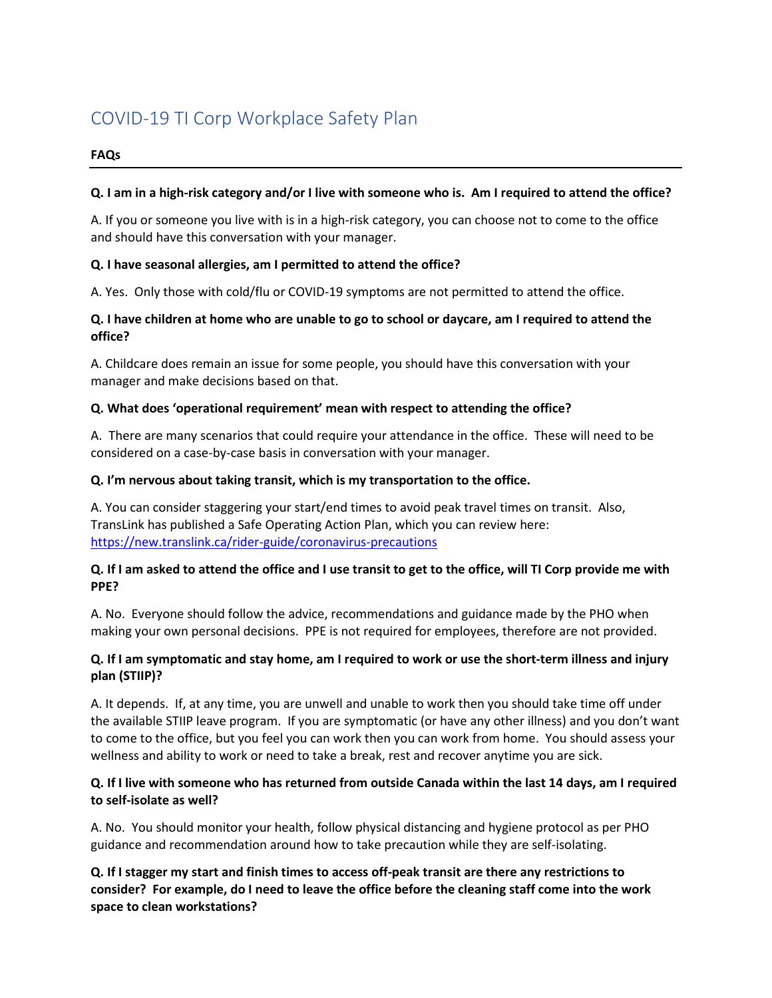# COVID-19 TI Corp Workplace Safety Plan

#### **FAQs**

#### **Q. I am in a high-risk category and/or I live with someone who is. Am I required to attend the office?**

A. If you or someone you live with is in a high-risk category, you can choose not to come to the office and should have this conversation with your manager.

### **Q. I have seasonal allergies, am I permitted to attend the office?**

A. Yes. Only those with cold/flu or COVID-19 symptoms are not permitted to attend the office.

## **Q. I have children at home who are unable to go to school or daycare, am I required to attend the office?**

A. Childcare does remain an issue for some people, you should have this conversation with your manager and make decisions based on that.

### **Q. What does 'operational requirement' mean with respect to attending the office?**

A. There are many scenarios that could require your attendance in the office. These will need to be considered on a case-by-case basis in conversation with your manager.

#### **Q. I'm nervous about taking transit, which is my transportation to the office.**

A. You can consider staggering your start/end times to avoid peak travel times on transit. Also, TransLink has published a Safe Operating Action Plan, which you can review here: <https://new.translink.ca/rider-guide/coronavirus-precautions>

### **Q. If I am asked to attend the office and I use transit to get to the office, will TI Corp provide me with PPE?**

A. No. Everyone should follow the advice, recommendations and guidance made by the PHO when making your own personal decisions. PPE is not required for employees, therefore are not provided.

### **Q. If I am symptomatic and stay home, am I required to work or use the short-term illness and injury plan (STIIP)?**

A. It depends. If, at any time, you are unwell and unable to work then you should take time off under the available STIIP leave program. If you are symptomatic (or have any other illness) and you don't want to come to the office, but you feel you can work then you can work from home. You should assess your wellness and ability to work or need to take a break, rest and recover anytime you are sick.

### **Q. If I live with someone who has returned from outside Canada within the last 14 days, am I required to self-isolate as well?**

A. No. You should monitor your health, follow physical distancing and hygiene protocol as per PHO guidance and recommendation around how to take precaution while they are self-isolating.

**Q. If I stagger my start and finish times to access off-peak transit are there any restrictions to consider? For example, do I need to leave the office before the cleaning staff come into the work space to clean workstations?**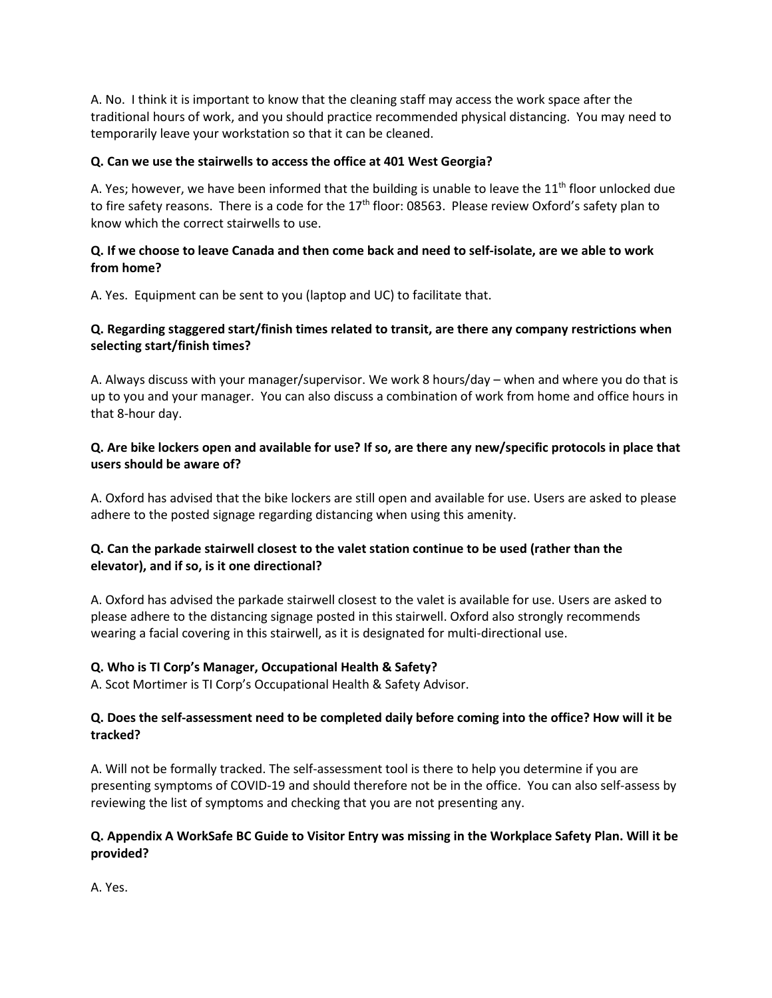A. No. I think it is important to know that the cleaning staff may access the work space after the traditional hours of work, and you should practice recommended physical distancing. You may need to temporarily leave your workstation so that it can be cleaned.

### **Q. Can we use the stairwells to access the office at 401 West Georgia?**

A. Yes; however, we have been informed that the building is unable to leave the  $11<sup>th</sup>$  floor unlocked due to fire safety reasons. There is a code for the 17<sup>th</sup> floor: 08563. Please review Oxford's safety plan to know which the correct stairwells to use.

### **Q. If we choose to leave Canada and then come back and need to self-isolate, are we able to work from home?**

A. Yes. Equipment can be sent to you (laptop and UC) to facilitate that.

## **Q. Regarding staggered start/finish times related to transit, are there any company restrictions when selecting start/finish times?**

A. Always discuss with your manager/supervisor. We work 8 hours/day – when and where you do that is up to you and your manager. You can also discuss a combination of work from home and office hours in that 8-hour day.

## **Q. Are bike lockers open and available for use? If so, are there any new/specific protocols in place that users should be aware of?**

A. Oxford has advised that the bike lockers are still open and available for use. Users are asked to please adhere to the posted signage regarding distancing when using this amenity.

# **Q. Can the parkade stairwell closest to the valet station continue to be used (rather than the elevator), and if so, is it one directional?**

A. Oxford has advised the parkade stairwell closest to the valet is available for use. Users are asked to please adhere to the distancing signage posted in this stairwell. Oxford also strongly recommends wearing a facial covering in this stairwell, as it is designated for multi-directional use.

# **Q. Who is TI Corp's Manager, Occupational Health & Safety?**

A. Scot Mortimer is TI Corp's Occupational Health & Safety Advisor.

### **Q. Does the self-assessment need to be completed daily before coming into the office? How will it be tracked?**

A. Will not be formally tracked. The self-assessment tool is there to help you determine if you are presenting symptoms of COVID-19 and should therefore not be in the office. You can also self-assess by reviewing the list of symptoms and checking that you are not presenting any.

### **Q. Appendix A WorkSafe BC Guide to Visitor Entry was missing in the Workplace Safety Plan. Will it be provided?**

A. Yes.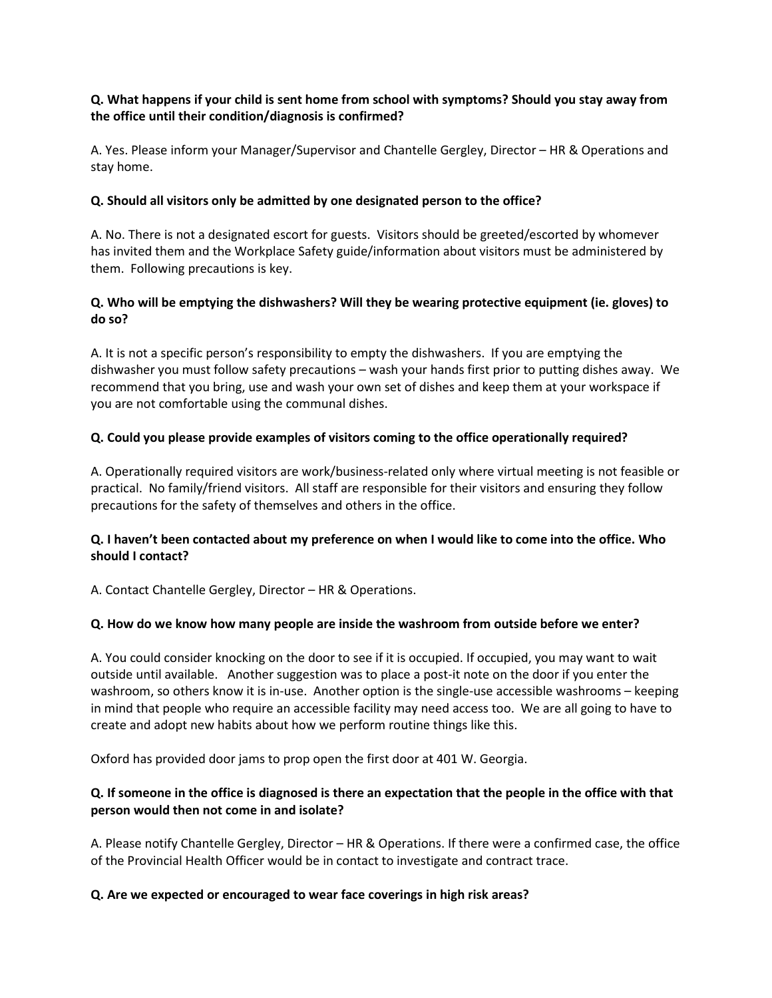## **Q. What happens if your child is sent home from school with symptoms? Should you stay away from the office until their condition/diagnosis is confirmed?**

A. Yes. Please inform your Manager/Supervisor and Chantelle Gergley, Director – HR & Operations and stay home.

#### **Q. Should all visitors only be admitted by one designated person to the office?**

A. No. There is not a designated escort for guests. Visitors should be greeted/escorted by whomever has invited them and the Workplace Safety guide/information about visitors must be administered by them. Following precautions is key.

## **Q. Who will be emptying the dishwashers? Will they be wearing protective equipment (ie. gloves) to do so?**

A. It is not a specific person's responsibility to empty the dishwashers. If you are emptying the dishwasher you must follow safety precautions – wash your hands first prior to putting dishes away. We recommend that you bring, use and wash your own set of dishes and keep them at your workspace if you are not comfortable using the communal dishes.

### **Q. Could you please provide examples of visitors coming to the office operationally required?**

A. Operationally required visitors are work/business-related only where virtual meeting is not feasible or practical. No family/friend visitors. All staff are responsible for their visitors and ensuring they follow precautions for the safety of themselves and others in the office.

### **Q. I haven't been contacted about my preference on when I would like to come into the office. Who should I contact?**

A. Contact Chantelle Gergley, Director – HR & Operations.

#### **Q. How do we know how many people are inside the washroom from outside before we enter?**

A. You could consider knocking on the door to see if it is occupied. If occupied, you may want to wait outside until available. Another suggestion was to place a post-it note on the door if you enter the washroom, so others know it is in-use. Another option is the single-use accessible washrooms – keeping in mind that people who require an accessible facility may need access too. We are all going to have to create and adopt new habits about how we perform routine things like this.

Oxford has provided door jams to prop open the first door at 401 W. Georgia.

# **Q. If someone in the office is diagnosed is there an expectation that the people in the office with that person would then not come in and isolate?**

A. Please notify Chantelle Gergley, Director – HR & Operations. If there were a confirmed case, the office of the Provincial Health Officer would be in contact to investigate and contract trace.

#### **Q. Are we expected or encouraged to wear face coverings in high risk areas?**